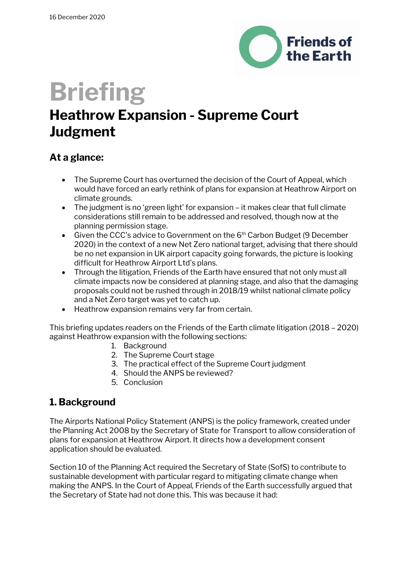

# **Briefing**

# **Heathrow Expansion - Supreme Court Judgment**

### **At a glance:**

- The Supreme Court has overturned the decision of the Court of Appeal, which would have forced an early rethink of plans for expansion at Heathrow Airport on climate grounds.
- The judgment is no 'green light' for expansion it makes clear that full climate considerations still remain to be addressed and resolved, though now at the planning permission stage.
- Given the CCC's advice to Government on the  $6<sup>th</sup>$  Carbon Budget (9 December 2020) in the context of a new Net Zero national target, advising that there should be no net expansion in UK airport capacity going forwards, the picture is looking difficult for Heathrow Airport Ltd's plans.
- Through the litigation, Friends of the Earth have ensured that not only must all climate impacts now be considered at planning stage, and also that the damaging proposals could not be rushed through in 2018/19 whilst national climate policy and a Net Zero target was yet to catch up.
- Heathrow expansion remains very far from certain.

This briefing updates readers on the Friends of the Earth climate litigation (2018 – 2020) against Heathrow expansion with the following sections:

- 1. Background
- 2. The Supreme Court stage
- 3. The practical effect of the Supreme Court judgment
- 4. Should the ANPS be reviewed?
- 5. Conclusion

# **1. Background**

The Airports National Policy Statement (ANPS) is the policy framework, created under the Planning Act 2008 by the Secretary of State for Transport to allow consideration of plans for expansion at Heathrow Airport. It directs how a development consent application should be evaluated.

Section 10 of the Planning Act required the Secretary of State (SofS) to contribute to sustainable development with particular regard to mitigating climate change when making the ANPS. In the Court of Appeal, Friends of the Earth successfully argued that the Secretary of State had not done this. This was because it had: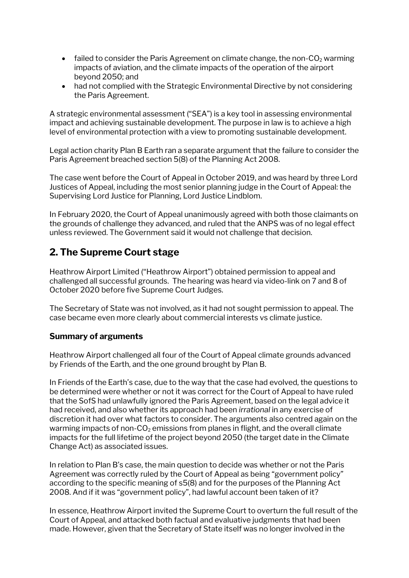- failed to consider the Paris Agreement on climate change, the non- $CO<sub>2</sub>$  warming impacts of aviation, and the climate impacts of the operation of the airport beyond 2050; and
- had not complied with the Strategic Environmental Directive by not considering the Paris Agreement.

A strategic environmental assessment ("SEA") is a key tool in assessing environmental impact and achieving sustainable development. The purpose in law is to achieve a high level of environmental protection with a view to promoting sustainable development.

Legal action charity Plan B Earth ran a separate argument that the failure to consider the Paris Agreement breached section 5(8) of the Planning Act 2008.

The case went before the Court of Appeal in October 2019, and was heard by three Lord Justices of Appeal, including the most senior planning judge in the Court of Appeal: the Supervising Lord Justice for Planning, Lord Justice Lindblom.

In February 2020, the Court of Appeal unanimously agreed with both those claimants on the grounds of challenge they advanced, and ruled that the ANPS was of no legal effect unless reviewed. The Government said it would not challenge that decision.

# **2. The Supreme Court stage**

Heathrow Airport Limited ("Heathrow Airport") obtained permission to appeal and challenged all successful grounds. The hearing was heard via video-link on 7 and 8 of October 2020 before five Supreme Court Judges.

The Secretary of State was not involved, as it had not sought permission to appeal. The case became even more clearly about commercial interests vs climate justice.

#### **Summary of arguments**

Heathrow Airport challenged all four of the Court of Appeal climate grounds advanced by Friends of the Earth, and the one ground brought by Plan B.

In Friends of the Earth's case, due to the way that the case had evolved, the questions to be determined were whether or not it was correct for the Court of Appeal to have ruled that the SofS had unlawfully ignored the Paris Agreement, based on the legal advice it had received, and also whether its approach had been *irrational* in any exercise of discretion it had over what factors to consider. The arguments also centred again on the warming impacts of non- $CO<sub>2</sub>$  emissions from planes in flight, and the overall climate impacts for the full lifetime of the project beyond 2050 (the target date in the Climate Change Act) as associated issues.

In relation to Plan B's case, the main question to decide was whether or not the Paris Agreement was correctly ruled by the Court of Appeal as being "government policy" according to the specific meaning of s5(8) and for the purposes of the Planning Act 2008. And if it was "government policy", had lawful account been taken of it?

In essence, Heathrow Airport invited the Supreme Court to overturn the full result of the Court of Appeal, and attacked both factual and evaluative judgments that had been made. However, given that the Secretary of State itself was no longer involved in the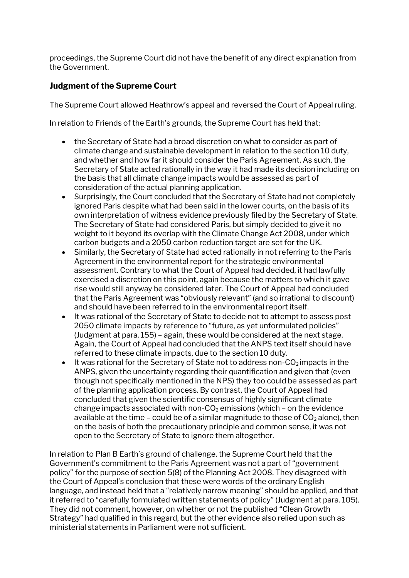proceedings, the Supreme Court did not have the benefit of any direct explanation from the Government.

#### **Judgment of the Supreme Court**

The Supreme Court allowed Heathrow's appeal and reversed the Court of Appeal ruling.

In relation to Friends of the Earth's grounds, the Supreme Court has held that:

- the Secretary of State had a broad discretion on what to consider as part of climate change and sustainable development in relation to the section 10 duty, and whether and how far it should consider the Paris Agreement. As such, the Secretary of State acted rationally in the way it had made its decision including on the basis that all climate change impacts would be assessed as part of consideration of the actual planning application.
- Surprisingly, the Court concluded that the Secretary of State had not completely ignored Paris despite what had been said in the lower courts, on the basis of its own interpretation of witness evidence previously filed by the Secretary of State. The Secretary of State had considered Paris, but simply decided to give it no weight to it beyond its overlap with the Climate Change Act 2008, under which carbon budgets and a 2050 carbon reduction target are set for the UK.
- Similarly, the Secretary of State had acted rationally in not referring to the Paris Agreement in the environmental report for the strategic environmental assessment. Contrary to what the Court of Appeal had decided, it had lawfully exercised a discretion on this point, again because the matters to which it gave rise would still anyway be considered later. The Court of Appeal had concluded that the Paris Agreement was "obviously relevant" (and so irrational to discount) and should have been referred to in the environmental report itself.
- It was rational of the Secretary of State to decide not to attempt to assess post 2050 climate impacts by reference to "future, as yet unformulated policies" (Judgment at para. 155) – again, these would be considered at the next stage. Again, the Court of Appeal had concluded that the ANPS text itself should have referred to these climate impacts, due to the section 10 duty.
- It was rational for the Secretary of State not to address non- $CO<sub>2</sub>$  impacts in the ANPS, given the uncertainty regarding their quantification and given that (even though not specifically mentioned in the NPS) they too could be assessed as part of the planning application process. By contrast, the Court of Appeal had concluded that given the scientific consensus of highly significant climate change impacts associated with non- $CO<sub>2</sub>$  emissions (which – on the evidence available at the time – could be of a similar magnitude to those of  $CO<sub>2</sub>$  alone), then on the basis of both the precautionary principle and common sense, it was not open to the Secretary of State to ignore them altogether.

In relation to Plan B Earth's ground of challenge, the Supreme Court held that the Government's commitment to the Paris Agreement was not a part of "government policy" for the purpose of section 5(8) of the Planning Act 2008. They disagreed with the Court of Appeal's conclusion that these were words of the ordinary English language, and instead held that a "relatively narrow meaning" should be applied, and that it referred to "carefully formulated written statements of policy" (Judgment at para. 105). They did not comment, however, on whether or not the published "Clean Growth Strategy" had qualified in this regard, but the other evidence also relied upon such as ministerial statements in Parliament were not sufficient.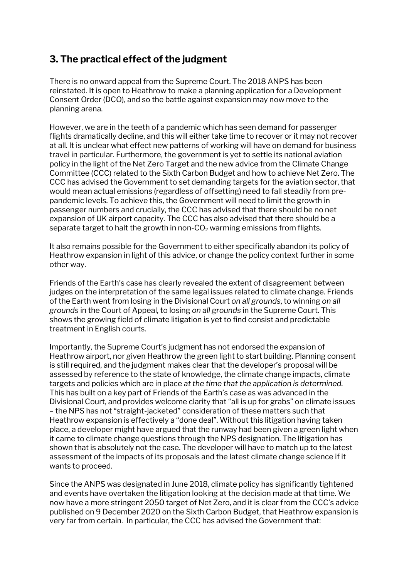# **3. The practical effect of the judgment**

There is no onward appeal from the Supreme Court. The 2018 ANPS has been reinstated. It is open to Heathrow to make a planning application for a Development Consent Order (DCO), and so the battle against expansion may now move to the planning arena.

However, we are in the teeth of a pandemic which has seen demand for passenger flights dramatically decline, and this will either take time to recover or it may not recover at all. It is unclear what effect new patterns of working will have on demand for business travel in particular. Furthermore, the government is yet to settle its national aviation policy in the light of the Net Zero Target and the new advice from the Climate Change Committee (CCC) related to the Sixth Carbon Budget and how to achieve Net Zero. The CCC has advised the Government to set demanding targets for the aviation sector, that would mean actual emissions (regardless of offsetting) need to fall steadily from prepandemic levels. To achieve this, the Government will need to limit the growth in passenger numbers and crucially, the CCC has advised that there should be no net expansion of UK airport capacity. The CCC has also advised that there should be a separate target to halt the growth in non- $CO<sub>2</sub>$  warming emissions from flights.

It also remains possible for the Government to either specifically abandon its policy of Heathrow expansion in light of this advice, or change the policy context further in some other way.

Friends of the Earth's case has clearly revealed the extent of disagreement between judges on the interpretation of the same legal issues related to climate change. Friends of the Earth went from losing in the Divisional Court *on all grounds*, to winning *on all grounds* in the Court of Appeal, to losing *on all grounds* in the Supreme Court. This shows the growing field of climate litigation is yet to find consist and predictable treatment in English courts.

Importantly, the Supreme Court's judgment has not endorsed the expansion of Heathrow airport, nor given Heathrow the green light to start building. Planning consent is still required, and the judgment makes clear that the developer's proposal will be assessed by reference to the state of knowledge, the climate change impacts, climate targets and policies which are in place *at the time that the application is determined.* This has built on a key part of Friends of the Earth's case as was advanced in the Divisional Court, and provides welcome clarity that "all is up for grabs" on climate issues – the NPS has not "straight-jacketed" consideration of these matters such that Heathrow expansion is effectively a "done deal". Without this litigation having taken place, a developer might have argued that the runway had been given a green light when it came to climate change questions through the NPS designation. The litigation has shown that is absolutely not the case. The developer will have to match up to the latest assessment of the impacts of its proposals and the latest climate change science if it wants to proceed.

Since the ANPS was designated in June 2018, climate policy has significantly tightened and events have overtaken the litigation looking at the decision made at that time. We now have a more stringent 2050 target of Net Zero, and it is clear from the CCC's advice published on 9 December 2020 on the Sixth Carbon Budget, that Heathrow expansion is very far from certain. In particular, the CCC has advised the Government that: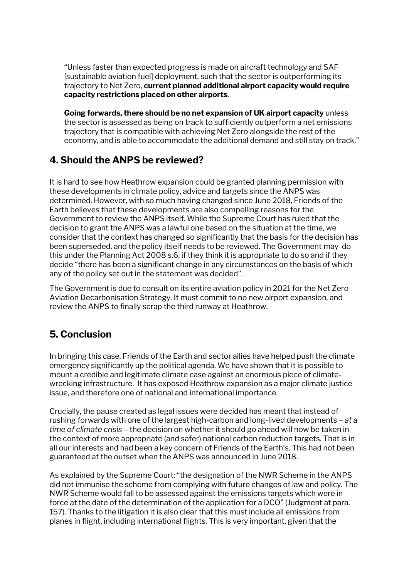"Unless faster than expected progress is made on aircraft technology and SAF [sustainable aviation fuel] deployment, such that the sector is outperforming its trajectory to Net Zero, **current planned additional airport capacity would require capacity restrictions placed on other airports**.

**Going forwards, there should be no net expansion of UK airport capacity** unless the sector is assessed as being on track to sufficiently outperform a net emissions trajectory that is compatible with achieving Net Zero alongside the rest of the economy, and is able to accommodate the additional demand and still stay on track."

# **4. Should the ANPS be reviewed?**

It is hard to see how Heathrow expansion could be granted planning permission with these developments in climate policy, advice and targets since the ANPS was determined. However, with so much having changed since June 2018, Friends of the Earth believes that these developments are also compelling reasons for the Government to review the ANPS itself. While the Supreme Court has ruled that the decision to grant the ANPS was a lawful one based on the situation at the time, we consider that the context has changed so significantly that the basis for the decision has been superseded, and the policy itself needs to be reviewed. The Government may do this under the Planning Act 2008 s.6, if they think it is appropriate to do so and if they decide "there has been a significant change in any circumstances on the basis of which any of the policy set out in the statement was decided".

The Government is due to consult on its entire aviation policy in 2021 for the Net Zero Aviation Decarbonisation Strategy. It must commit to no new airport expansion, and review the ANPS to finally scrap the third runway at Heathrow.

# **5. Conclusion**

In bringing this case, Friends of the Earth and sector allies have helped push the climate emergency significantly up the political agenda. We have shown that it is possible to mount a credible and legitimate climate case against an enormous piece of climatewrecking infrastructure. It has exposed Heathrow expansion as a major climate justice issue, and therefore one of national and international importance.

Crucially, the pause created as legal issues were decided has meant that instead of rushing forwards with one of the largest high-carbon and long-lived developments – *at a time of climate crisis* – the decision on whether it should go ahead will now be taken in the context of more appropriate (and safer) national carbon reduction targets. That is in all our interests and had been a key concern of Friends of the Earth's. This had not been guaranteed at the outset when the ANPS was announced in June 2018.

As explained by the Supreme Court: "the designation of the NWR Scheme in the ANPS did not immunise the scheme from complying with future changes of law and policy. The NWR Scheme would fall to be assessed against the emissions targets which were in force at the date of the determination of the application for a DCO" (Judgment at para. 157). Thanks to the litigation it is also clear that this must include all emissions from planes in flight, including international flights. This is very important, given that the